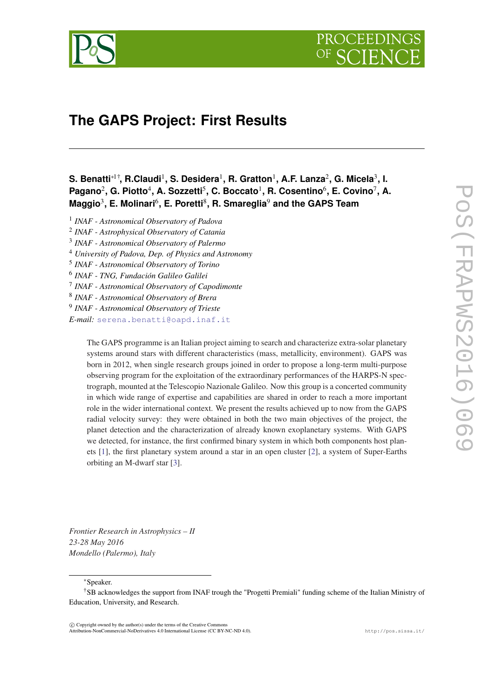

# **The GAPS Project: First Results**

## **S. Benatti**∗1†**, R.Claudi**<sup>1</sup> **, S. Desidera**<sup>1</sup> **, R. Gratton**<sup>1</sup> **, A.F. Lanza**<sup>2</sup> **, G. Micela**<sup>3</sup> **, I.** Pagano<sup>2</sup>, G. Piotto<sup>4</sup>, A. Sozzetti<sup>5</sup>, C. Boccato<sup>1</sup>, R. Cosentino<sup>6</sup>, E. Covino<sup>7</sup>, A. **Maggio**<sup>3</sup> **, E. Molinari**<sup>6</sup> **, E. Poretti**<sup>8</sup> **, R. Smareglia**<sup>9</sup> **and the GAPS Team**

- 1 *INAF Astronomical Observatory of Padova*
- 2 *INAF Astrophysical Observatory of Catania*
- 3 *INAF Astronomical Observatory of Palermo*
- <sup>4</sup> *University of Padova, Dep. of Physics and Astronomy*
- 5 *INAF Astronomical Observatory of Torino*
- 6 *INAF TNG, Fundación Galileo Galilei*
- 7 *INAF Astronomical Observatory of Capodimonte*
- 8 *INAF Astronomical Observatory of Brera*
- 9 *INAF Astronomical Observatory of Trieste*

*E-mail:* [serena.benatti@oapd.inaf.it](mailto:serena.benatti@oapd.inaf.it)

The GAPS programme is an Italian project aiming to search and characterize extra-solar planetary systems around stars with different characteristics (mass, metallicity, environment). GAPS was born in 2012, when single research groups joined in order to propose a long-term multi-purpose observing program for the exploitation of the extraordinary performances of the HARPS-N spectrograph, mounted at the Telescopio Nazionale Galileo. Now this group is a concerted community in which wide range of expertise and capabilities are shared in order to reach a more important role in the wider international context. We present the results achieved up to now from the GAPS radial velocity survey: they were obtained in both the two main objectives of the project, the planet detection and the characterization of already known exoplanetary systems. With GAPS we detected, for instance, the first confirmed binary system in which both components host planets [\[1](#page-7-0)], the first planetary system around a star in an open cluster [\[2](#page-8-0)], a system of Super-Earths orbiting an M-dwarf star [[3\]](#page-8-0).

*Frontier Research in Astrophysics – II 23-28 May 2016 Mondello (Palermo), Italy*

<sup>∗</sup>Speaker.

 $\odot$  Copyright owned by the author(s) under the terms of the Creative Commons Attribution-NonCommercial-NoDerivatives 4.0 International License (CC BY-NC-ND 4.0). http://pos.sissa.it/

<sup>†</sup>SB acknowledges the support from INAF trough the "Progetti Premiali" funding scheme of the Italian Ministry of Education, University, and Research.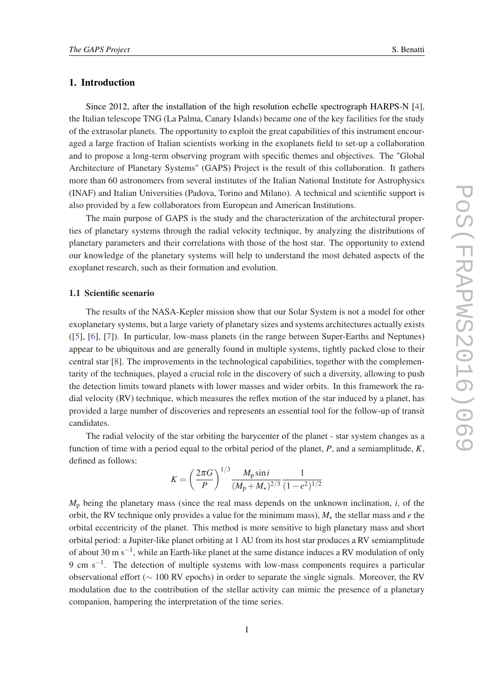## 1. Introduction

Since 2012, after the installation of the high resolution echelle spectrograph HARPS-N [\[4\]](#page-8-0), the Italian telescope TNG (La Palma, Canary Islands) became one of the key facilities for the study of the extrasolar planets. The opportunity to exploit the great capabilities of this instrument encouraged a large fraction of Italian scientists working in the exoplanets field to set-up a collaboration and to propose a long-term observing program with specific themes and objectives. The "Global Architecture of Planetary Systems" (GAPS) Project is the result of this collaboration. It gathers more than 60 astronomers from several institutes of the Italian National Institute for Astrophysics (INAF) and Italian Universities (Padova, Torino and Milano). A technical and scientific support is also provided by a few collaborators from European and American Institutions.

The main purpose of GAPS is the study and the characterization of the architectural properties of planetary systems through the radial velocity technique, by analyzing the distributions of planetary parameters and their correlations with those of the host star. The opportunity to extend our knowledge of the planetary systems will help to understand the most debated aspects of the exoplanet research, such as their formation and evolution.

#### 1.1 Scientific scenario

The results of the NASA-Kepler mission show that our Solar System is not a model for other exoplanetary systems, but a large variety of planetary sizes and systems architectures actually exists ([[5](#page-8-0)], [[6](#page-8-0)], [[7\]](#page-8-0)). In particular, low-mass planets (in the range between Super-Earths and Neptunes) appear to be ubiquitous and are generally found in multiple systems, tightly packed close to their central star [[8](#page-8-0)]. The improvements in the technological capabilities, together with the complementarity of the techniques, played a crucial role in the discovery of such a diversity, allowing to push the detection limits toward planets with lower masses and wider orbits. In this framework the radial velocity (RV) technique, which measures the reflex motion of the star induced by a planet, has provided a large number of discoveries and represents an essential tool for the follow-up of transit candidates.

The radial velocity of the star orbiting the barycenter of the planet - star system changes as a function of time with a period equal to the orbital period of the planet, *P*, and a semiamplitude, *K*, defined as follows:

$$
K = \left(\frac{2\pi G}{P}\right)^{1/3} \frac{M_{\rm p}\sin i}{(M_{\rm p} + M_{\star})^{2/3}} \frac{1}{(1 - e^2)^{1/2}}
$$

 $M_p$  being the planetary mass (since the real mass depends on the unknown inclination, *i*, of the orbit, the RV technique only provides a value for the minimum mass),  $M_{\star}$  the stellar mass and *e* the orbital eccentricity of the planet. This method is more sensitive to high planetary mass and short orbital period: a Jupiter-like planet orbiting at 1 AU from its host star produces a RV semiamplitude of about 30 m s<sup>-1</sup>, while an Earth-like planet at the same distance induces a RV modulation of only 9 cm s<sup>-1</sup>. The detection of multiple systems with low-mass components requires a particular observational effort (∼ 100 RV epochs) in order to separate the single signals. Moreover, the RV modulation due to the contribution of the stellar activity can mimic the presence of a planetary companion, hampering the interpretation of the time series.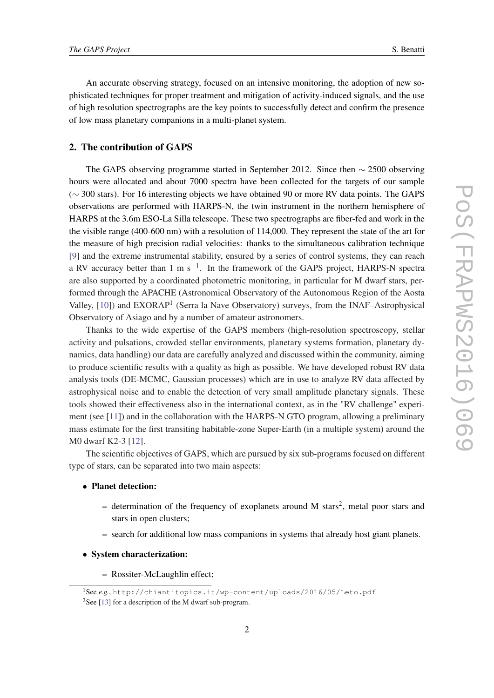An accurate observing strategy, focused on an intensive monitoring, the adoption of new sophisticated techniques for proper treatment and mitigation of activity-induced signals, and the use of high resolution spectrographs are the key points to successfully detect and confirm the presence of low mass planetary companions in a multi-planet system.

## 2. The contribution of GAPS

The GAPS observing programme started in September 2012. Since then ∼ 2500 observing hours were allocated and about 7000 spectra have been collected for the targets of our sample (∼ 300 stars). For 16 interesting objects we have obtained 90 or more RV data points. The GAPS observations are performed with HARPS-N, the twin instrument in the northern hemisphere of HARPS at the 3.6m ESO-La Silla telescope. These two spectrographs are fiber-fed and work in the the visible range (400-600 nm) with a resolution of 114,000. They represent the state of the art for the measure of high precision radial velocities: thanks to the simultaneous calibration technique [[9](#page-8-0)] and the extreme instrumental stability, ensured by a series of control systems, they can reach a RV accuracy better than 1 m s<sup>-1</sup>. In the framework of the GAPS project, HARPS-N spectra are also supported by a coordinated photometric monitoring, in particular for M dwarf stars, performed through the APACHE (Astronomical Observatory of the Autonomous Region of the Aosta Valley, [\[10](#page-8-0)]) and EXORAP<sup>1</sup> (Serra la Nave Observatory) surveys, from the INAF-Astrophysical Observatory of Asiago and by a number of amateur astronomers.

Thanks to the wide expertise of the GAPS members (high-resolution spectroscopy, stellar activity and pulsations, crowded stellar environments, planetary systems formation, planetary dynamics, data handling) our data are carefully analyzed and discussed within the community, aiming to produce scientific results with a quality as high as possible. We have developed robust RV data analysis tools (DE-MCMC, Gaussian processes) which are in use to analyze RV data affected by astrophysical noise and to enable the detection of very small amplitude planetary signals. These tools showed their effectiveness also in the international context, as in the "RV challenge" experiment (see [[11\]](#page-8-0)) and in the collaboration with the HARPS-N GTO program, allowing a preliminary mass estimate for the first transiting habitable-zone Super-Earth (in a multiple system) around the M0 dwarf K2-3 [\[12\]](#page-8-0).

The scientific objectives of GAPS, which are pursued by six sub-programs focused on different type of stars, can be separated into two main aspects:

- Planet detection:
	- $-$  determination of the frequency of exoplanets around M stars<sup>2</sup>, metal poor stars and stars in open clusters;
	- search for additional low mass companions in systems that already host giant planets.
- System characterization:
	- Rossiter-McLaughlin effect;

<sup>1</sup>See *e.g.*, http://chiantitopics.it/wp-content/uploads/2016/05/Leto.pdf

<sup>&</sup>lt;sup>2</sup>See [[13\]](#page-8-0) for a description of the M dwarf sub-program.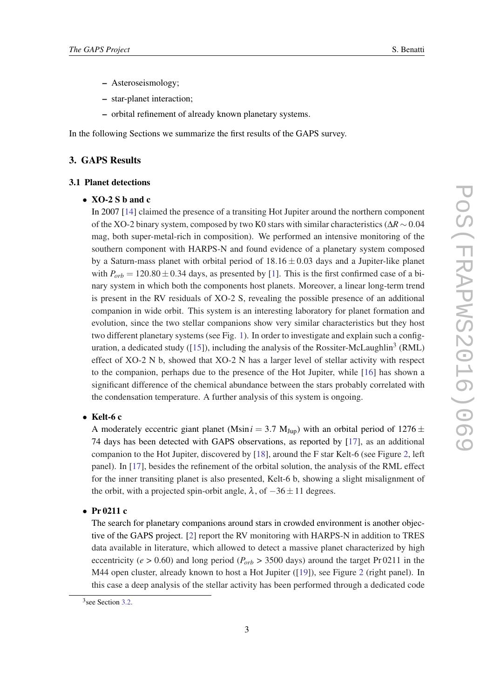- Asteroseismology;
- star-planet interaction;
- orbital refinement of already known planetary systems.

In the following Sections we summarize the first results of the GAPS survey.

## 3. GAPS Results

## 3.1 Planet detections

### • XO-2 S b and c

In 2007 [\[14](#page-8-0)] claimed the presence of a transiting Hot Jupiter around the northern component of the XO-2 binary system, composed by two K0 stars with similar characteristics (∆*R* ∼ 0.04 mag, both super-metal-rich in composition). We performed an intensive monitoring of the southern component with HARPS-N and found evidence of a planetary system composed by a Saturn-mass planet with orbital period of  $18.16 \pm 0.03$  days and a Jupiter-like planet with  $P_{orb} = 120.80 \pm 0.34$  days, as presented by [\[1\]](#page-7-0). This is the first confirmed case of a binary system in which both the components host planets. Moreover, a linear long-term trend is present in the RV residuals of XO-2 S, revealing the possible presence of an additional companion in wide orbit. This system is an interesting laboratory for planet formation and evolution, since the two stellar companions show very similar characteristics but they host two different planetary systems (see Fig. [1\)](#page-4-0). In order to investigate and explain such a config-uration, a dedicated study ([\[15](#page-8-0)]), including the analysis of the Rossiter-McLaughlin<sup>3</sup> (RML) effect of XO-2 N b, showed that XO-2 N has a larger level of stellar activity with respect to the companion, perhaps due to the presence of the Hot Jupiter, while [\[16\]](#page-8-0) has shown a significant difference of the chemical abundance between the stars probably correlated with the condensation temperature. A further analysis of this system is ongoing.

## • Kelt-6 c

A moderately eccentric giant planet (Msin  $i = 3.7$  M<sub>Jup</sub>) with an orbital period of 1276  $\pm$ 74 days has been detected with GAPS observations, as reported by [[17\]](#page-8-0), as an additional companion to the Hot Jupiter, discovered by [\[18\]](#page-8-0), around the F star Kelt-6 (see Figure [2](#page-5-0), left panel). In [\[17](#page-8-0)], besides the refinement of the orbital solution, the analysis of the RML effect for the inner transiting planet is also presented, Kelt-6 b, showing a slight misalignment of the orbit, with a projected spin-orbit angle,  $\lambda$ , of  $-36 \pm 11$  degrees.

## • Pr 0211 c

The search for planetary companions around stars in crowded environment is another objective of the GAPS project. [[2](#page-8-0)] report the RV monitoring with HARPS-N in addition to TRES data available in literature, which allowed to detect a massive planet characterized by high eccentricity ( $e > 0.60$ ) and long period ( $P_{orb} > 3500$  days) around the target Pr 0211 in the M44 open cluster, already known to host a Hot Jupiter ([\[19](#page-8-0)]), see Figure [2](#page-5-0) (right panel). In this case a deep analysis of the stellar activity has been performed through a dedicated code

<sup>&</sup>lt;sup>3</sup> see Section [3.2.](#page-4-0)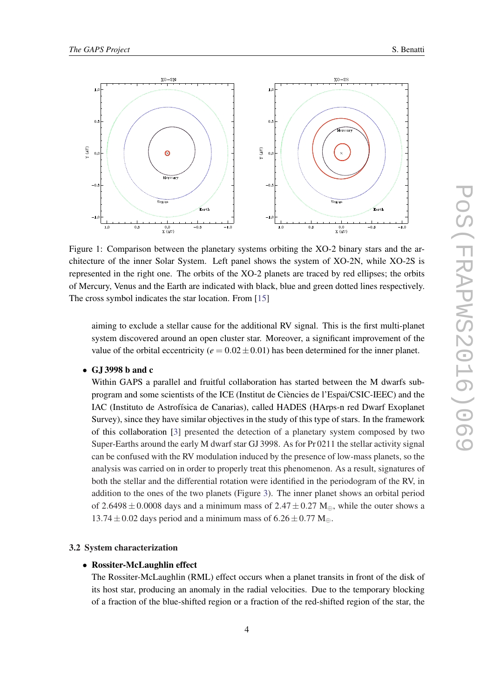<span id="page-4-0"></span>

Figure 1: Comparison between the planetary systems orbiting the XO-2 binary stars and the architecture of the inner Solar System. Left panel shows the system of XO-2N, while XO-2S is represented in the right one. The orbits of the XO-2 planets are traced by red ellipses; the orbits of Mercury, Venus and the Earth are indicated with black, blue and green dotted lines respectively. The cross symbol indicates the star location. From [\[15](#page-8-0)]

aiming to exclude a stellar cause for the additional RV signal. This is the first multi-planet system discovered around an open cluster star. Moreover, a significant improvement of the value of the orbital eccentricity ( $e = 0.02 \pm 0.01$ ) has been determined for the inner planet.

• GJ 3998 b and c

Within GAPS a parallel and fruitful collaboration has started between the M dwarfs subprogram and some scientists of the ICE (Institut de Ciències de l'Espai/CSIC-IEEC) and the IAC (Instituto de Astrofísica de Canarias), called HADES (HArps-n red Dwarf Exoplanet Survey), since they have similar objectives in the study of this type of stars. In the framework of this collaboration [\[3\]](#page-8-0) presented the detection of a planetary system composed by two Super-Earths around the early M dwarf star GJ 3998. As for Pr 0211 the stellar activity signal can be confused with the RV modulation induced by the presence of low-mass planets, so the analysis was carried on in order to properly treat this phenomenon. As a result, signatures of both the stellar and the differential rotation were identified in the periodogram of the RV, in addition to the ones of the two planets (Figure [3\)](#page-5-0). The inner planet shows an orbital period of 2.6498  $\pm$  0.0008 days and a minimum mass of 2.47  $\pm$  0.27 M<sub>⊕</sub>, while the outer shows a  $13.74 \pm 0.02$  days period and a minimum mass of  $6.26 \pm 0.77$  M<sub>⊕</sub>.

#### 3.2 System characterization

#### • Rossiter-McLaughlin effect

The Rossiter-McLaughlin (RML) effect occurs when a planet transits in front of the disk of its host star, producing an anomaly in the radial velocities. Due to the temporary blocking of a fraction of the blue-shifted region or a fraction of the red-shifted region of the star, the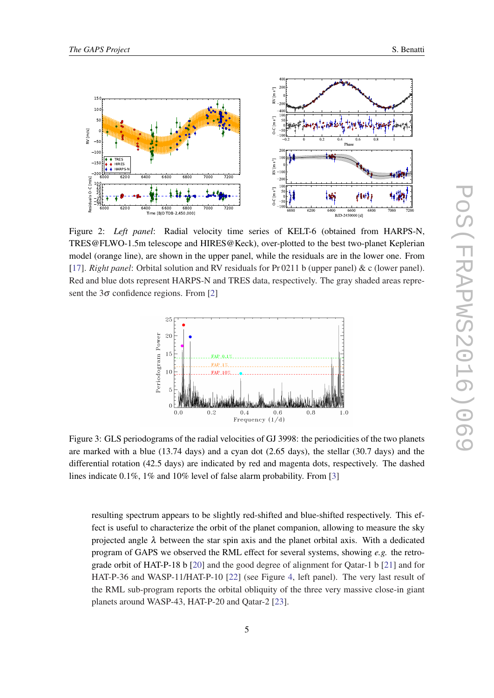<span id="page-5-0"></span>

Figure 2: *Left panel*: Radial velocity time series of KELT-6 (obtained from HARPS-N, TRES@FLWO-1.5m telescope and HIRES@Keck), over-plotted to the best two-planet Keplerian model (orange line), are shown in the upper panel, while the residuals are in the lower one. From [[17\]](#page-8-0). *Right panel*: Orbital solution and RV residuals for Pr 0211 b (upper panel) & c (lower panel). Red and blue dots represent HARPS-N and TRES data, respectively. The gray shaded areas represent the  $3\sigma$  confidence regions. From [[2](#page-8-0)]



Figure 3: GLS periodograms of the radial velocities of GJ 3998: the periodicities of the two planets are marked with a blue (13.74 days) and a cyan dot (2.65 days), the stellar (30.7 days) and the differential rotation (42.5 days) are indicated by red and magenta dots, respectively. The dashed lines indicate 0.1%, 1% and 10% level of false alarm probability. From [[3](#page-8-0)]

resulting spectrum appears to be slightly red-shifted and blue-shifted respectively. This effect is useful to characterize the orbit of the planet companion, allowing to measure the sky projected angle  $\lambda$  between the star spin axis and the planet orbital axis. With a dedicated program of GAPS we observed the RML effect for several systems, showing *e.g.* the retrograde orbit of HAT-P-18 b [\[20](#page-8-0)] and the good degree of alignment for Qatar-1 b [\[21](#page-8-0)] and for HAT-P-36 and WASP-11/HAT-P-10 [[22\]](#page-9-0) (see Figure [4,](#page-6-0) left panel). The very last result of the RML sub-program reports the orbital obliquity of the three very massive close-in giant planets around WASP-43, HAT-P-20 and Qatar-2 [\[23](#page-9-0)].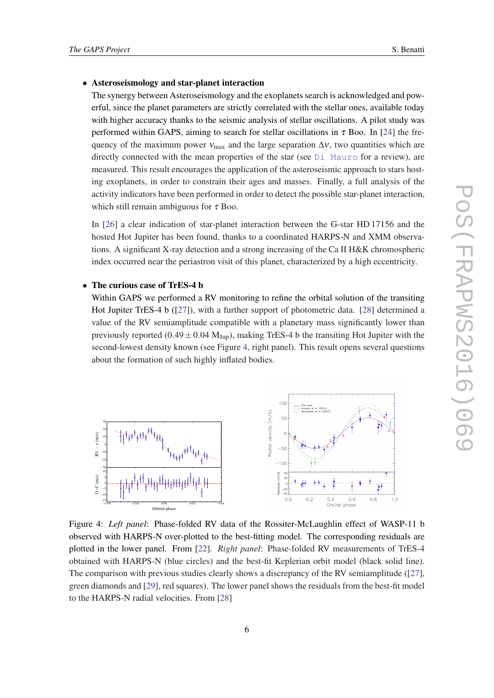#### <span id="page-6-0"></span>• Asteroseismology and star-planet interaction

The synergy between Asteroseismology and the exoplanets search is acknowledged and powerful, since the planet parameters are strictly correlated with the stellar ones, available today with higher accuracy thanks to the seismic analysis of stellar oscillations. A pilot study was performed within GAPS, aiming to search for stellar oscillations in  $\tau$  Boo. In [[24\]](#page-9-0) the frequency of the maximum power  $v_{\text{max}}$  and the large separation  $\Delta v$ , two quantities which are directly connected with the mean properties of the star (see  $\text{Di}$  Mauro for a review), are measured. This result encourages the application of the asteroseismic approach to stars hosting exoplanets, in order to constrain their ages and masses. Finally, a full analysis of the activity indicators have been performed in order to detect the possible star-planet interaction, which still remain ambiguous for  $\tau$  Boo.

In [\[26](#page-9-0)] a clear indication of star-planet interaction between the G-star HD 17156 and the hosted Hot Jupiter has been found, thanks to a coordinated HARPS-N and XMM observations. A significant X-ray detection and a strong increasing of the Ca II H&K chromospheric index occurred near the periastron visit of this planet, characterized by a high eccentricity.

#### • The curious case of TrES-4 b

Within GAPS we performed a RV monitoring to refine the orbital solution of the transiting Hot Jupiter TrES-4 b ([\[27](#page-9-0)]), with a further support of photometric data. [[28\]](#page-9-0) determined a value of the RV semiamplitude compatible with a planetary mass significantly lower than previously reported (0.49  $\pm$  0.04 M<sub>Jup</sub>), making TrES-4 b the transiting Hot Jupiter with the second-lowest density known (see Figure 4, right panel). This result opens several questions about the formation of such highly inflated bodies.



Figure 4: *Left panel*: Phase-folded RV data of the Rossiter-McLaughlin effect of WASP-11 b observed with HARPS-N over-plotted to the best-fitting model. The corresponding residuals are plotted in the lower panel. From [[22\]](#page-9-0). *Right panel*: Phase-folded RV measurements of TrES-4 obtained with HARPS-N (blue circles) and the best-fit Keplerian orbit model (black solid line). The comparison with previous studies clearly shows a discrepancy of the RV semiamplitude ( $[27]$  $[27]$ , green diamonds and [\[29](#page-9-0)], red squares). The lower panel shows the residuals from the best-fit model to the HARPS-N radial velocities. From [\[28](#page-9-0)]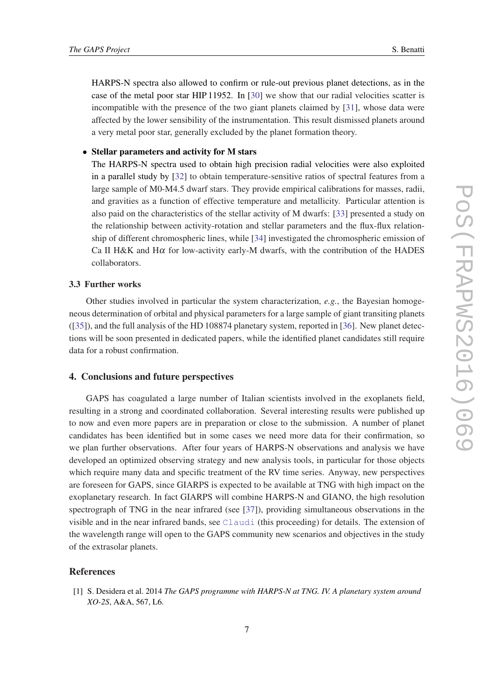<span id="page-7-0"></span>HARPS-N spectra also allowed to confirm or rule-out previous planet detections, as in the case of the metal poor star HIP 11952. In [\[30](#page-9-0)] we show that our radial velocities scatter is incompatible with the presence of the two giant planets claimed by [[31\]](#page-9-0), whose data were affected by the lower sensibility of the instrumentation. This result dismissed planets around a very metal poor star, generally excluded by the planet formation theory.

## • Stellar parameters and activity for M stars

The HARPS-N spectra used to obtain high precision radial velocities were also exploited in a parallel study by [[32\]](#page-9-0) to obtain temperature-sensitive ratios of spectral features from a large sample of M0-M4.5 dwarf stars. They provide empirical calibrations for masses, radii, and gravities as a function of effective temperature and metallicity. Particular attention is also paid on the characteristics of the stellar activity of M dwarfs: [[33\]](#page-9-0) presented a study on the relationship between activity-rotation and stellar parameters and the flux-flux relationship of different chromospheric lines, while [\[34](#page-9-0)] investigated the chromospheric emission of Ca II H&K and H $\alpha$  for low-activity early-M dwarfs, with the contribution of the HADES collaborators.

## 3.3 Further works

Other studies involved in particular the system characterization, *e.g.*, the Bayesian homogeneous determination of orbital and physical parameters for a large sample of giant transiting planets ([[35\]](#page-9-0)), and the full analysis of the HD 108874 planetary system, reported in [\[36](#page-9-0)]. New planet detections will be soon presented in dedicated papers, while the identified planet candidates still require data for a robust confirmation.

## 4. Conclusions and future perspectives

GAPS has coagulated a large number of Italian scientists involved in the exoplanets field, resulting in a strong and coordinated collaboration. Several interesting results were published up to now and even more papers are in preparation or close to the submission. A number of planet candidates has been identified but in some cases we need more data for their confirmation, so we plan further observations. After four years of HARPS-N observations and analysis we have developed an optimized observing strategy and new analysis tools, in particular for those objects which require many data and specific treatment of the RV time series. Anyway, new perspectives are foreseen for GAPS, since GIARPS is expected to be available at TNG with high impact on the exoplanetary research. In fact GIARPS will combine HARPS-N and GIANO, the high resolution spectrograph of TNG in the near infrared (see [\[37](#page-9-0)]), providing simultaneous observations in the visible and in the near infrared bands, see [Claudi](http://pos.sissa.it/cgi-bin/reader/contribution.cgi?id=Claudi) (this proceeding) for details. The extension of the wavelength range will open to the GAPS community new scenarios and objectives in the study of the extrasolar planets.

## **References**

[1] S. Desidera et al. 2014 *The GAPS programme with HARPS-N at TNG. IV. A planetary system around XO-2S*, A&A, 567, L6.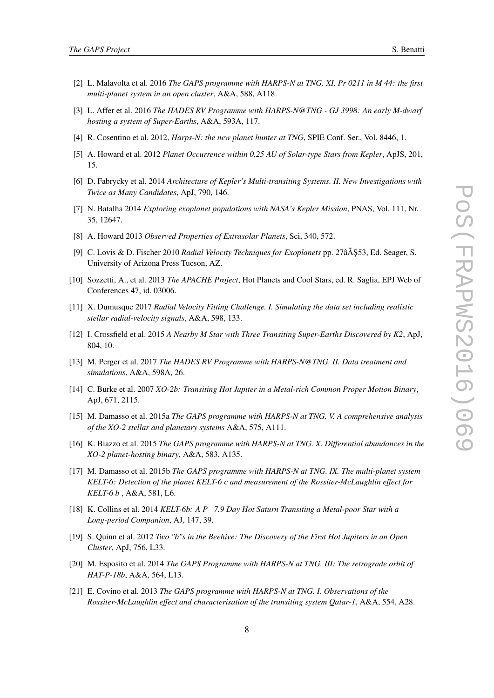- <span id="page-8-0"></span>[2] L. Malavolta et al. 2016 *The GAPS programme with HARPS-N at TNG. XI. Pr 0211 in M 44: the first multi-planet system in an open cluster*, A&A, 588, A118.
- [3] L. Affer et al. 2016 *The HADES RV Programme with HARPS-N@TNG GJ 3998: An early M-dwarf hosting a system of Super-Earths*, A&A, 593A, 117.
- [4] R. Cosentino et al. 2012, *Harps-N: the new planet hunter at TNG*, SPIE Conf. Ser., Vol. 8446, 1.
- [5] A. Howard et al. 2012 *Planet Occurrence within 0.25 AU of Solar-type Stars from Kepler*, ApJS, 201, 15.
- [6] D. Fabrycky et al. 2014 *Architecture of Kepler's Multi-transiting Systems. II. New Investigations with Twice as Many Candidates*, ApJ, 790, 146.
- [7] N. Batalha 2014 *Exploring exoplanet populations with NASA's Kepler Mission*, PNAS, Vol. 111, Nr. 35, 12647.
- [8] A. Howard 2013 *Observed Properties of Extrasolar Planets*, Sci, 340, 572.
- [9] C. Lovis & D. Fischer 2010 *Radial Velocity Techniques for Exoplanets* pp. 27âA §53, Ed. Seager, S. University of Arizona Press Tucson, AZ.
- [10] Sozzetti, A., et al. 2013 *The APACHE Project*, Hot Planets and Cool Stars, ed. R. Saglia, EPJ Web of Conferences 47, id. 03006.
- [11] X. Dumusque 2017 *Radial Velocity Fitting Challenge. I. Simulating the data set including realistic stellar radial-velocity signals*, A&A, 598, 133.
- [12] I. Crossfield et al. 2015 *A Nearby M Star with Three Transiting Super-Earths Discovered by K2*, ApJ, 804, 10.
- [13] M. Perger et al. 2017 *The HADES RV Programme with HARPS-N@TNG. II. Data treatment and simulations*, A&A, 598A, 26.
- [14] C. Burke et al. 2007 *XO-2b: Transiting Hot Jupiter in a Metal-rich Common Proper Motion Binary*, ApJ, 671, 2115.
- [15] M. Damasso et al. 2015a *The GAPS programme with HARPS-N at TNG. V. A comprehensive analysis of the XO-2 stellar and planetary systems* A&A, 575, A111.
- [16] K. Biazzo et al. 2015 *The GAPS programme with HARPS-N at TNG. X. Differential abundances in the XO-2 planet-hosting binary*, A&A, 583, A135.
- [17] M. Damasso et al. 2015b *The GAPS programme with HARPS-N at TNG. IX. The multi-planet system KELT-6: Detection of the planet KELT-6 c and measurement of the Rossiter-McLaughlin effect for KELT-6 b* , A&A, 581, L6.
- [18] K. Collins et al. 2014 *KELT-6b: A P 7.9 Day Hot Saturn Transiting a Metal-poor Star with a Long-period Companion*, AJ, 147, 39.
- [19] S. Quinn et al. 2012 *Two "b"s in the Beehive: The Discovery of the First Hot Jupiters in an Open Cluster*, ApJ, 756, L33.
- [20] M. Esposito et al. 2014 *The GAPS Programme with HARPS-N at TNG. III: The retrograde orbit of HAT-P-18b*, A&A, 564, L13.
- [21] E. Covino et al. 2013 *The GAPS programme with HARPS-N at TNG. I. Observations of the Rossiter-McLaughlin effect and characterisation of the transiting system Qatar-1*, A&A, 554, A28.